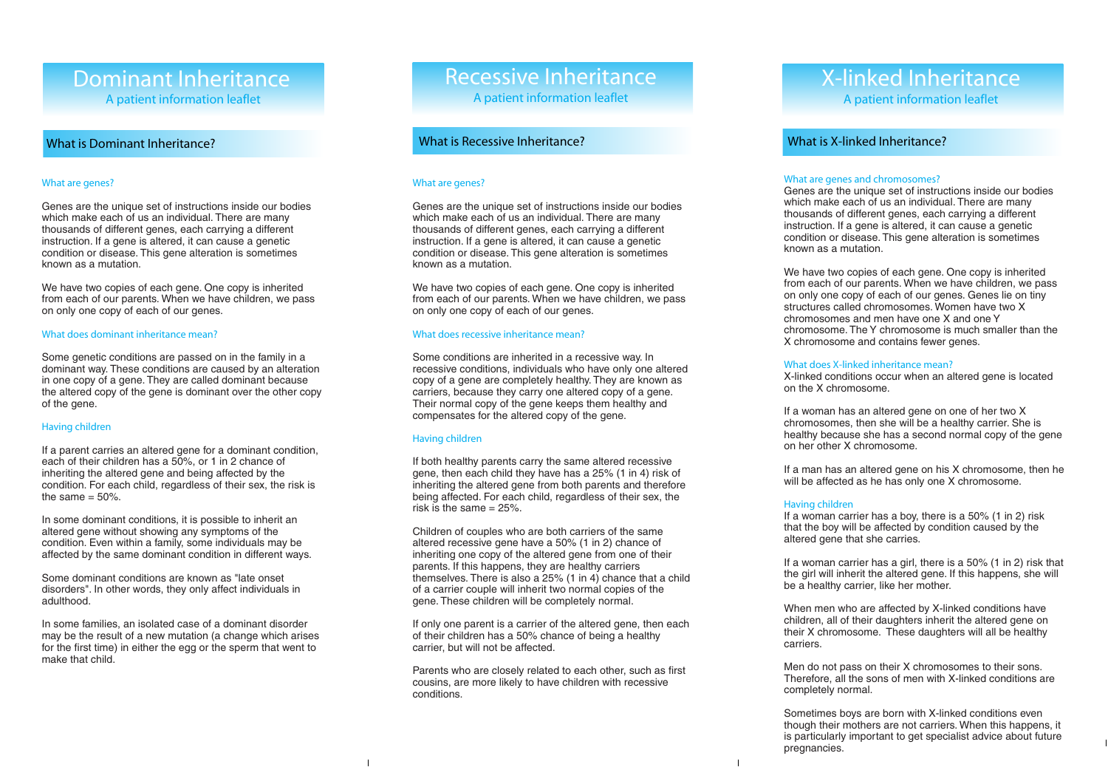# Dominant Inheritance A patient information leaflet

## What is Dominant Inheritance?

#### What are genes?

Genes are the unique set of instructions inside our bodies which make each of us an individual. There are many thousands of different genes, each carrying a different instruction. If a gene is altered, it can cause a genetic condition or disease. This gene alteration is sometimes known as a mutation.

We have two copies of each gene. One copy is inherited from each of our parents. When we have children, we pass on only one copy of each of our genes.

#### What does dominant inheritance mean?

Some genetic conditions are passed on in the family in a dominant way. These conditions are caused by an alteration in one copy of a gene. They are called dominant because the altered copy of the gene is dominant over the other copy of the gene.

#### Having children

If a parent carries an altered gene for a dominant condition, each of their children has a 50%, or 1 in 2 chance of inheriting the altered gene and being affected by the condition. For each child, regardless of their sex, the risk is the same  $= 50\%$ .

In some dominant conditions, it is possible to inherit an altered gene without showing any symptoms of the condition. Even within a family, some individuals may be affected by the same dominant condition in different ways.

Some dominant conditions are known as "late onset disorders". In other words, they only affect individuals in adulthood.

In some families, an isolated case of a dominant disorder may be the result of a new mutation (a change which arises for the first time) in either the egg or the sperm that went to make that child.

# Recessive Inheritance

A patient information leaflet

## What is Recessive Inheritance?

#### What are genes?

Genes are the unique set of instructions inside our bodies which make each of us an individual. There are many thousands of different genes, each carrying a different instruction. If a gene is altered, it can cause a genetic condition or disease. This gene alteration is sometimes known as a mutation.

We have two copies of each gene. One copy is inherited from each of our parents. When we have children, we pass on only one copy of each of our genes.

#### What does recessive inheritance mean?

Some conditions are inherited in a recessive way. In recessive conditions, individuals who have only one altered copy of a gene are completely healthy. They are known as carriers, because they carry one altered copy of a gene. Their normal copy of the gene keeps them healthy and compensates for the altered copy of the gene.

#### Having children

If both healthy parents carry the same altered recessive gene, then each child they have has a 25% (1 in 4) risk of inheriting the altered gene from both parents and therefore being affected. For each child, regardless of their sex, the risk is the same  $= 25\%$ .

Children of couples who are both carriers of the same altered recessive gene have a 50% (1 in 2) chance of inheriting one copy of the altered gene from one of their parents. If this happens, they are healthy carriers themselves. There is also a 25% (1 in 4) chance that a child of a carrier couple will inherit two normal copies of the gene. These children will be completely normal.

If only one parent is a carrier of the altered gene, then each of their children has a 50% chance of being a healthy carrier, but will not be affected.

Parents who are closely related to each other, such as first cousins, are more likely to have children with recessive conditions.

# X-linked Inheritance A patient information leaflet

# What is X-linked Inheritance?

#### What are genes and chromosomes?

Genes are the unique set of instructions inside our bodies which make each of us an individual. There are many thousands of different genes, each carrying a different instruction. If a gene is altered, it can cause a genetic condition or disease. This gene alteration is sometimes known as a mutation.

We have two copies of each gene. One copy is inherited from each of our parents. When we have children, we pass on only one copy of each of our genes. Genes lie on tiny structures called chromosomes. Women have two X chromosomes and men have one X and one Y chromosome. The Y chromosome is much smaller than the X chromosome and contains fewer genes.

#### What does X-linked inheritance mean?

X-linked conditions occur when an altered gene is located on the X chromosome.

If a woman has an altered gene on one of her two X chromosomes, then she will be a healthy carrier. She is healthy because she has a second normal copy of the gene on her other X chromosome.

If a man has an altered gene on his X chromosome, then he will be affected as he has only one X chromosome.

#### Having children

If a woman carrier has a boy, there is a 50% (1 in 2) risk that the boy will be affected by condition caused by the altered gene that she carries.

If a woman carrier has a girl, there is a 50% (1 in 2) risk that the girl will inherit the altered gene. If this happens, she will be a healthy carrier, like her mother.

When men who are affected by X-linked conditions have children, all of their daughters inherit the altered gene on their X chromosome. These daughters will all be healthy carriers.

Men do not pass on their X chromosomes to their sons. Therefore, all the sons of men with X-linked conditions are completely normal.

Sometimes boys are born with X-linked conditions even though their mothers are not carriers. When this happens, it is particularly important to get specialist advice about future pregnancies.